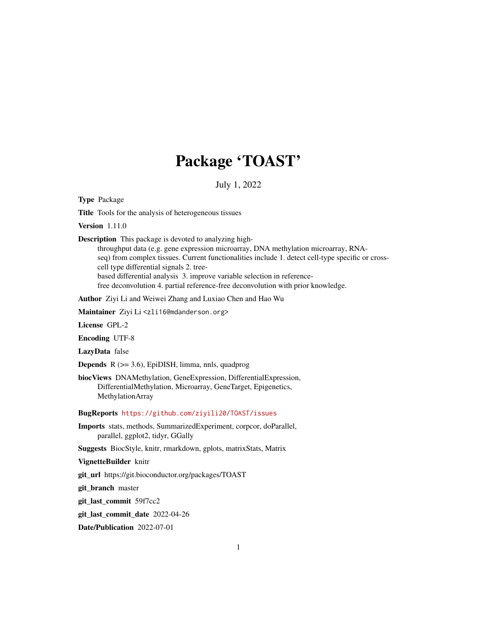# Package 'TOAST'

July 1, 2022

Type Package

Title Tools for the analysis of heterogeneous tissues

Version 1.11.0

Description This package is devoted to analyzing highthroughput data (e.g. gene expression microarray, DNA methylation microarray, RNAseq) from complex tissues. Current functionalities include 1. detect cell-type specific or cross-

cell type differential signals 2. tree-

based differential analysis 3. improve variable selection in reference-

free deconvolution 4. partial reference-free deconvolution with prior knowledge.

Author Ziyi Li and Weiwei Zhang and Luxiao Chen and Hao Wu

Maintainer Ziyi Li <zli16@mdanderson.org>

License GPL-2

Encoding UTF-8

LazyData false

Depends R (>= 3.6), EpiDISH, limma, nnls, quadprog

biocViews DNAMethylation, GeneExpression, DifferentialExpression, DifferentialMethylation, Microarray, GeneTarget, Epigenetics, MethylationArray

BugReports <https://github.com/ziyili20/TOAST/issues>

Imports stats, methods, SummarizedExperiment, corpcor, doParallel, parallel, ggplot2, tidyr, GGally

Suggests BiocStyle, knitr, rmarkdown, gplots, matrixStats, Matrix

VignetteBuilder knitr

git\_url https://git.bioconductor.org/packages/TOAST

git\_branch master

git\_last\_commit 59f7cc2

git\_last\_commit\_date 2022-04-26

Date/Publication 2022-07-01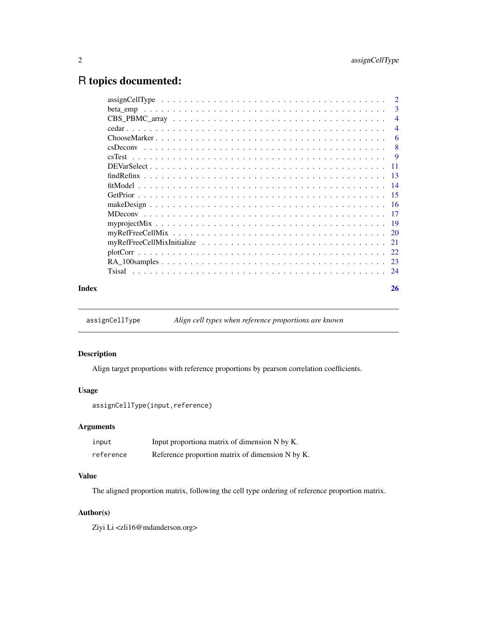# <span id="page-1-0"></span>R topics documented:

|       | $assignCellType \dots \dots \dots \dots \dots \dots \dots \dots \dots \dots \dots \dots \dots \dots \dots \dots$ |                |
|-------|------------------------------------------------------------------------------------------------------------------|----------------|
|       | beta emp                                                                                                         |                |
|       |                                                                                                                  |                |
|       |                                                                                                                  | $\overline{4}$ |
|       |                                                                                                                  | -6             |
|       |                                                                                                                  |                |
|       |                                                                                                                  |                |
|       |                                                                                                                  |                |
|       |                                                                                                                  |                |
|       |                                                                                                                  |                |
|       |                                                                                                                  |                |
|       |                                                                                                                  |                |
|       |                                                                                                                  |                |
|       |                                                                                                                  |                |
|       |                                                                                                                  |                |
|       |                                                                                                                  |                |
|       |                                                                                                                  |                |
|       |                                                                                                                  |                |
|       |                                                                                                                  |                |
| Index |                                                                                                                  | 26             |

assignCellType *Align cell types when reference proportions are known*

# Description

Align target proportions with reference proportions by pearson correlation coefficients.

# Usage

```
assignCellType(input,reference)
```
# Arguments

| input     | Input proportiona matrix of dimension N by K.    |
|-----------|--------------------------------------------------|
| reference | Reference proportion matrix of dimension N by K. |

# Value

The aligned proportion matrix, following the cell type ordering of reference proportion matrix.

# Author(s)

Ziyi Li <zli16@mdanderson.org>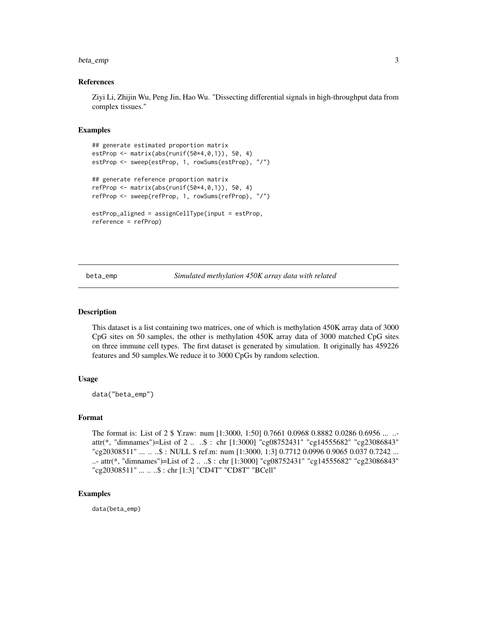#### <span id="page-2-0"></span>beta\_emp 3

#### References

Ziyi Li, Zhijin Wu, Peng Jin, Hao Wu. "Dissecting differential signals in high-throughput data from complex tissues."

#### Examples

```
## generate estimated proportion matrix
estProp <- matrix(abs(runif(50*4,0,1)), 50, 4)
estProp <- sweep(estProp, 1, rowSums(estProp), "/")
## generate reference proportion matrix
refProp <- matrix(abs(runif(50*4,0,1)), 50, 4)
refProp <- sweep(refProp, 1, rowSums(refProp), "/")
estProp_aligned = assignCellType(input = estProp,
reference = refProp)
```
beta\_emp *Simulated methylation 450K array data with related*

#### Description

This dataset is a list containing two matrices, one of which is methylation 450K array data of 3000 CpG sites on 50 samples, the other is methylation 450K array data of 3000 matched CpG sites on three immune cell types. The first dataset is generated by simulation. It originally has 459226 features and 50 samples.We reduce it to 3000 CpGs by random selection.

#### Usage

data("beta\_emp")

#### Format

The format is: List of 2 \$ Y.raw: num [1:3000, 1:50] 0.7661 0.0968 0.8882 0.0286 0.6956 ... .. attr(\*, "dimnames")=List of 2 .. ..\$ : chr [1:3000] "cg08752431" "cg14555682" "cg23086843" "cg20308511" ... .. ..\$ : NULL \$ ref.m: num [1:3000, 1:3] 0.7712 0.0996 0.9065 0.037 0.7242 ... ..- attr(\*, "dimnames")=List of 2 .. ..\$ : chr [1:3000] "cg08752431" "cg14555682" "cg23086843" "cg20308511" ... .. ..\$ : chr [1:3] "CD4T" "CD8T" "BCell"

#### Examples

data(beta\_emp)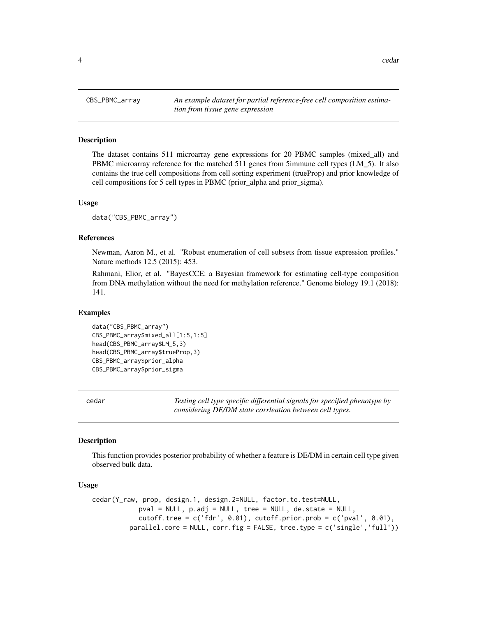<span id="page-3-0"></span>

CBS\_PBMC\_array *An example dataset for partial reference-free cell composition estimation from tissue gene expression*

#### Description

The dataset contains 511 microarray gene expressions for 20 PBMC samples (mixed\_all) and PBMC microarray reference for the matched 511 genes from 5immune cell types (LM\_5). It also contains the true cell compositions from cell sorting experiment (trueProp) and prior knowledge of cell compositions for 5 cell types in PBMC (prior\_alpha and prior\_sigma).

#### Usage

```
data("CBS_PBMC_array")
```
#### References

Newman, Aaron M., et al. "Robust enumeration of cell subsets from tissue expression profiles." Nature methods 12.5 (2015): 453.

Rahmani, Elior, et al. "BayesCCE: a Bayesian framework for estimating cell-type composition from DNA methylation without the need for methylation reference." Genome biology 19.1 (2018): 141.

#### Examples

```
data("CBS_PBMC_array")
CBS_PBMC_array$mixed_all[1:5,1:5]
head(CBS_PBMC_array$LM_5,3)
head(CBS_PBMC_array$trueProp,3)
CBS_PBMC_array$prior_alpha
CBS_PBMC_array$prior_sigma
```
cedar *Testing cell type specific differential signals for specified phenotype by considering DE/DM state corrleation between cell types.*

#### Description

This function provides posterior probability of whether a feature is DE/DM in certain cell type given observed bulk data.

#### Usage

```
cedar(Y_raw, prop, design.1, design.2=NULL, factor.to.test=NULL,
            pval = NULL, p.adj = NULL, tree = NULL, de.state = NULL,
            cutoff.tree = c('fdr', 0.01), cutoff.prior.prob = c('pval', 0.01),parallel.core = NULL, corr.fig = FALSE, tree.type = c('single','full'))
```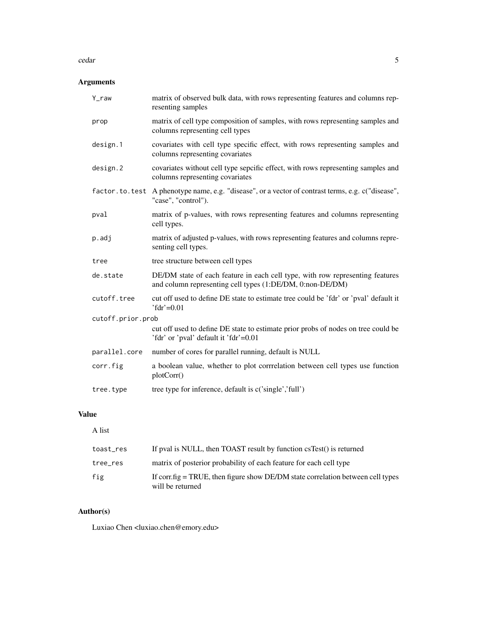#### cedar 5

# Arguments

| $Y_{raw}$         | matrix of observed bulk data, with rows representing features and columns rep-<br>resenting samples                                        |  |
|-------------------|--------------------------------------------------------------------------------------------------------------------------------------------|--|
| prop              | matrix of cell type composition of samples, with rows representing samples and<br>columns representing cell types                          |  |
| design.1          | covariates with cell type specific effect, with rows representing samples and<br>columns representing covariates                           |  |
| design.2          | covariates without cell type sepcific effect, with rows representing samples and<br>columns representing covariates                        |  |
|                   | factor.to.test A phenotype name, e.g. "disease", or a vector of contrast terms, e.g. c("disease",<br>"case", "control").                   |  |
| pval              | matrix of p-values, with rows representing features and columns representing<br>cell types.                                                |  |
| p.adj             | matrix of adjusted p-values, with rows representing features and columns repre-<br>senting cell types.                                     |  |
| tree              | tree structure between cell types                                                                                                          |  |
| de.state          | DE/DM state of each feature in each cell type, with row representing features<br>and column representing cell types (1:DE/DM, 0:non-DE/DM) |  |
| cutoff.tree       | cut off used to define DE state to estimate tree could be 'fdr' or 'pval' default it<br>$' f dr' = 0.01$                                   |  |
| cutoff.prior.prob |                                                                                                                                            |  |
|                   | cut off used to define DE state to estimate prior probs of nodes on tree could be<br>'fdr' or 'pval' default it 'fdr'=0.01                 |  |
| parallel.core     | number of cores for parallel running, default is NULL                                                                                      |  |
| corr.fig          | a boolean value, whether to plot corrrelation between cell types use function<br>plotCorr()                                                |  |
| tree.type         | tree type for inference, default is c('single','full')                                                                                     |  |

# Value

A list

| toast_res | If pval is NULL, then TOAST result by function csTest() is returned                                 |
|-----------|-----------------------------------------------------------------------------------------------------|
| tree_res  | matrix of posterior probability of each feature for each cell type                                  |
| fig       | If corrig $=$ TRUE, then figure show DE/DM state correlation between cell types<br>will be returned |

# Author(s)

Luxiao Chen <luxiao.chen@emory.edu>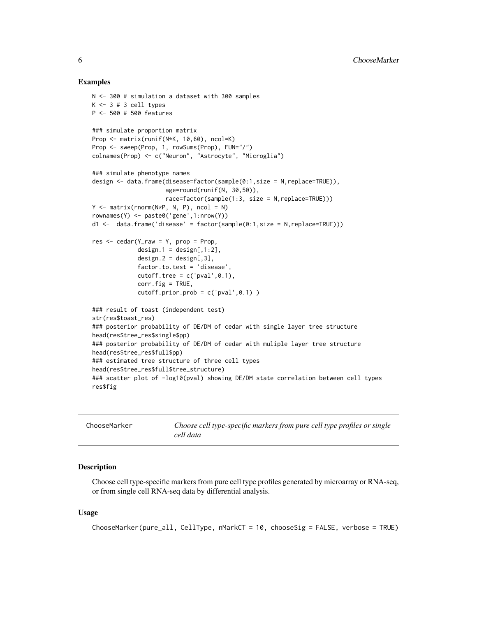#### Examples

```
N <- 300 # simulation a dataset with 300 samples
K \le -3 # 3 cell types
P <- 500 # 500 features
### simulate proportion matrix
Prop <- matrix(runif(N*K, 10,60), ncol=K)
Prop <- sweep(Prop, 1, rowSums(Prop), FUN="/")
colnames(Prop) <- c("Neuron", "Astrocyte", "Microglia")
### simulate phenotype names
design <- data.frame(disease=factor(sample(0:1,size = N,replace=TRUE)),
                     age=round(runif(N, 30,50)),
                     race=factor(sample(1:3, size = N,replace=TRUE)))
Y \leq - matrix(rnorm(N*P, N, P), ncol = N)
rownames(Y) <- paste0('gene',1:nrow(Y))
d1 <- data.frame('disease' = factor(sample(0:1,size = N,replace=TRUE)))
res < - cedar(Y_raw = Y, prop = Prop,
             design.1 = design[, 1:2],design.2 = design[, 3],factor.to.test = 'disease',
             cutoff.tree = c('pval', 0.1),corr.fig = TRUE,
             cutoff.printor.prob = c('pval', 0.1) )### result of toast (independent test)
str(res$toast_res)
### posterior probability of DE/DM of cedar with single layer tree structure
head(res$tree_res$single$pp)
### posterior probability of DE/DM of cedar with muliple layer tree structure
head(res$tree_res$full$pp)
### estimated tree structure of three cell types
head(res$tree_res$full$tree_structure)
### scatter plot of -log10(pval) showing DE/DM state correlation between cell types
res$fig
```

| ChooseMarker | Choose cell type-specific markers from pure cell type profiles or single<br>cell data |
|--------------|---------------------------------------------------------------------------------------|
|              |                                                                                       |

# Description

Choose cell type-specific markers from pure cell type profiles generated by microarray or RNA-seq, or from single cell RNA-seq data by differential analysis.

## Usage

```
ChooseMarker(pure_all, CellType, nMarkCT = 10, chooseSig = FALSE, verbose = TRUE)
```
<span id="page-5-0"></span>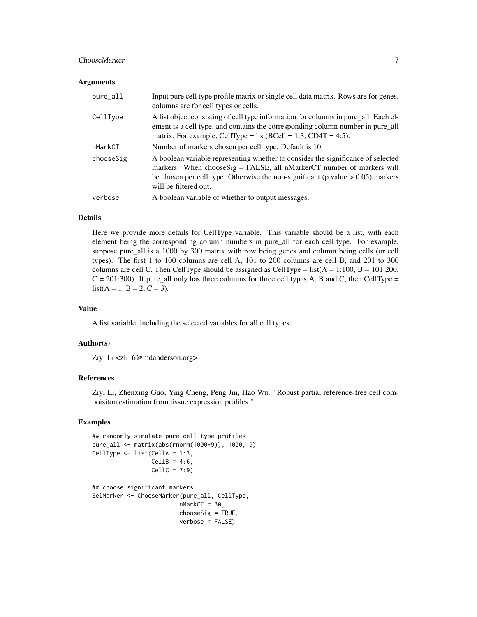# ChooseMarker 7 and 2008 and 2008 and 2008 and 2008 and 2008 and 2008 and 2008 and 2008 and 2008 and 2008 and 2008 and 2008 and 2008 and 2008 and 2008 and 2008 and 2008 and 2008 and 2008 and 2008 and 2008 and 2008 and 2008

#### **Arguments**

| pure_all  | Input pure cell type profile matrix or single cell data matrix. Rows are for genes,<br>columns are for cell types or cells.                                                                                                                                                      |
|-----------|----------------------------------------------------------------------------------------------------------------------------------------------------------------------------------------------------------------------------------------------------------------------------------|
| CellType  | A list object consisting of cell type information for columns in pure_all. Each el-<br>ement is a cell type, and contains the corresponding column number in pure_all<br>matrix. For example, CellType = $list(BCell = 1:3, CD4T = 4:5)$ .                                       |
| nMarkCT   | Number of markers chosen per cell type. Default is 10.                                                                                                                                                                                                                           |
| chooseSig | A boolean variable representing whether to consider the significance of selected<br>markers. When choose $Sig = FALSE$ , all nMarker CT number of markers will<br>be chosen per cell type. Otherwise the non-significant ( $p$ value $> 0.05$ ) markers<br>will be filtered out. |
| verbose   | A boolean variable of whether to output messages.                                                                                                                                                                                                                                |

#### Details

Here we provide more details for CellType variable. This variable should be a list, with each element being the corresponding column numbers in pure\_all for each cell type. For example, suppose pure\_all is a 1000 by 300 matrix with row being genes and column being cells (or cell types). The first 1 to 100 columns are cell A, 101 to 200 columns are cell B, and 201 to 300 columns are cell C. Then CellType should be assigned as CellType =  $list(A = 1:100, B = 101:200,$  $C = 201:300$ . If pure\_all only has three columns for three cell types A, B and C, then CellType =  $list(A = 1, B = 2, C = 3).$ 

#### Value

A list variable, including the selected variables for all cell types.

#### Author(s)

Ziyi Li <zli16@mdanderson.org>

## References

Ziyi Li, Zhenxing Guo, Ying Cheng, Peng Jin, Hao Wu. "Robust partial reference-free cell compoisiton estimation from tissue expression profiles."

```
## randomly simulate pure cell type profiles
pure_all <- matrix(abs(rnorm(1000*9)), 1000, 9)
CellType <- list(CellA = 1:3,
                CellB = 4:6,CellC = 7:9## choose significant markers
SelMarker <- ChooseMarker(pure_all, CellType,
                        nMarkCT = 30,
                        chooseSig = TRUE,
                        verbose = FALSE)
```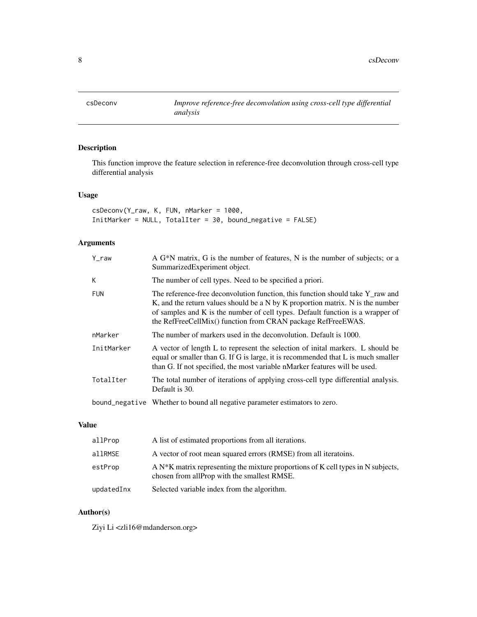<span id="page-7-0"></span>

# Description

This function improve the feature selection in reference-free deconvolution through cross-cell type differential analysis

# Usage

csDeconv(Y\_raw, K, FUN, nMarker = 1000, InitMarker = NULL, TotalIter = 30, bound\_negative = FALSE)

# Arguments

| Y raw      | A G <sup>*</sup> N matrix, G is the number of features, N is the number of subjects; or a<br>SummarizedExperiment object.                                                                                                                                                                                          |
|------------|--------------------------------------------------------------------------------------------------------------------------------------------------------------------------------------------------------------------------------------------------------------------------------------------------------------------|
| K          | The number of cell types. Need to be specified a priori.                                                                                                                                                                                                                                                           |
| <b>FUN</b> | The reference-free deconvolution function, this function should take Y raw and<br>K, and the return values should be a N by K proportion matrix. N is the number<br>of samples and K is the number of cell types. Default function is a wrapper of<br>the RefFreeCellMix() function from CRAN package RefFreeEWAS. |
| nMarker    | The number of markers used in the deconvolution. Default is 1000.                                                                                                                                                                                                                                                  |
| InitMarker | A vector of length L to represent the selection of initial markers. L should be<br>equal or smaller than G. If G is large, it is recommended that L is much smaller<br>than G. If not specified, the most variable nMarker features will be used.                                                                  |
| TotalIter  | The total number of iterations of applying cross-cell type differential analysis.<br>Default is 30.                                                                                                                                                                                                                |
|            | bound_negative Whether to bound all negative parameter estimators to zero.                                                                                                                                                                                                                                         |

# Value

| allProp    | A list of estimated proportions from all iterations.                                                                               |
|------------|------------------------------------------------------------------------------------------------------------------------------------|
| allRMSE    | A vector of root mean squared errors (RMSE) from all iteratoins.                                                                   |
| estProp    | A $N*K$ matrix representing the mixture proportions of K cell types in N subjects,<br>chosen from all prop with the smallest RMSE. |
| updatedInx | Selected variable index from the algorithm.                                                                                        |

# Author(s)

Ziyi Li <zli16@mdanderson.org>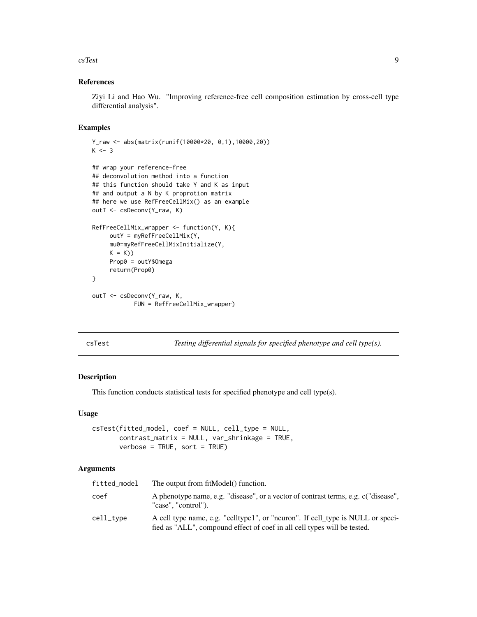#### <span id="page-8-0"></span>csTest 99

# References

Ziyi Li and Hao Wu. "Improving reference-free cell composition estimation by cross-cell type differential analysis".

# Examples

```
Y_raw <- abs(matrix(runif(10000*20, 0,1),10000,20))
K < -3## wrap your reference-free
## deconvolution method into a function
## this function should take Y and K as input
## and output a N by K proprotion matrix
## here we use RefFreeCellMix() as an example
outT <- csDeconv(Y_raw, K)
RefFreeCellMix_wrapper <- function(Y, K){
     outY = myRefFreeCellMix(Y,
     mu0=myRefFreeCellMixInitialize(Y,
    K = K)
     Prop0 = outY$Omega
     return(Prop0)
}
outT <- csDeconv(Y_raw, K,
            FUN = RefFreeCellMix_wrapper)
```
csTest *Testing differential signals for specified phenotype and cell type(s).*

# Description

This function conducts statistical tests for specified phenotype and cell type(s).

#### Usage

```
csTest(fitted_model, coef = NULL, cell_type = NULL,
      contrast_matrix = NULL, var_shrinkage = TRUE,
       verbose = TRUE, sort = TRUE
```
#### Arguments

| fitted_model | The output from fit Model() function.                                                                                                                       |
|--------------|-------------------------------------------------------------------------------------------------------------------------------------------------------------|
| coef         | A phenotype name, e.g. "disease", or a vector of contrast terms, e.g. c("disease",<br>"case". "control").                                                   |
| cell_type    | A cell type name, e.g. "celltype1", or "neuron". If cell_type is NULL or speci-<br>fied as "ALL", compound effect of coef in all cell types will be tested. |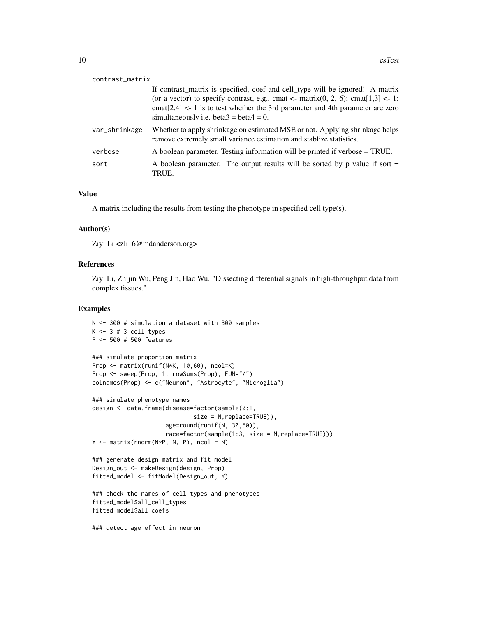| contrast_matrix |                                                                                                                                                                                                                                                                                                                  |
|-----------------|------------------------------------------------------------------------------------------------------------------------------------------------------------------------------------------------------------------------------------------------------------------------------------------------------------------|
|                 | If contrast_matrix is specified, coef and cell_type will be ignored! A matrix<br>(or a vector) to specify contrast, e.g., cmat <- matrix(0, 2, 6); cmat $[1,3]$ <- 1:<br>cmat $[2,4]$ < - 1 is to test whether the 3rd parameter and 4th parameter are zero<br>simultaneously i.e. beta $3 = \text{beta}4 = 0$ . |
| var_shrinkage   | Whether to apply shrinkage on estimated MSE or not. Applying shrinkage helps<br>remove extremely small variance estimation and stablize statistics.                                                                                                                                                              |
| verbose         | A boolean parameter. Testing information will be printed if verbose = TRUE.                                                                                                                                                                                                                                      |
| sort            | A boolean parameter. The output results will be sorted by p value if sort $=$<br>TRUE.                                                                                                                                                                                                                           |

# Value

A matrix including the results from testing the phenotype in specified cell type(s).

## Author(s)

Ziyi Li <zli16@mdanderson.org>

#### References

Ziyi Li, Zhijin Wu, Peng Jin, Hao Wu. "Dissecting differential signals in high-throughput data from complex tissues."

```
N <- 300 # simulation a dataset with 300 samples
K \le -3 # 3 cell types
P <- 500 # 500 features
### simulate proportion matrix
Prop <- matrix(runif(N*K, 10,60), ncol=K)
Prop <- sweep(Prop, 1, rowSums(Prop), FUN="/")
colnames(Prop) <- c("Neuron", "Astrocyte", "Microglia")
### simulate phenotype names
design <- data.frame(disease=factor(sample(0:1,
                            size = N,replace=TRUE)),
                     age=round(runif(N, 30,50)),
                     race=factor(sample(1:3, size = N,replace=TRUE)))
Y \le - matrix(rnorm(N*P, N, P), ncol = N)
### generate design matrix and fit model
Design_out <- makeDesign(design, Prop)
fitted_model <- fitModel(Design_out, Y)
### check the names of cell types and phenotypes
fitted_model$all_cell_types
fitted_model$all_coefs
### detect age effect in neuron
```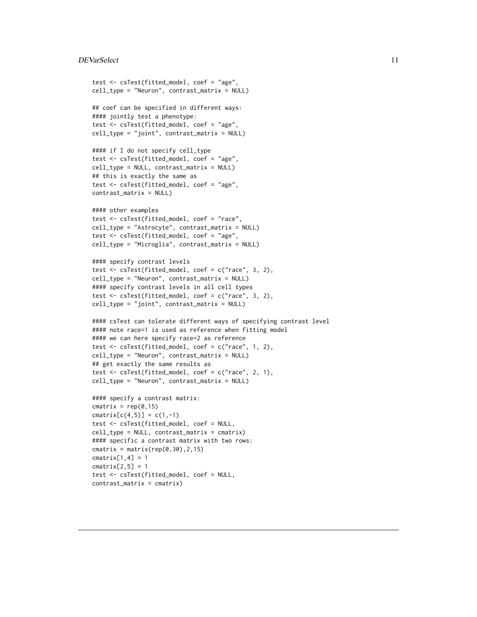#### <span id="page-10-0"></span>DEVarSelect 11

```
test <- csTest(fitted_model, coef = "age",
cell_type = "Neuron", contrast_matrix = NULL)
## coef can be specified in different ways:
#### jointly test a phenotype:
test <- csTest(fitted_model, coef = "age",
cell_type = "joint", contrast_matrix = NULL)
#### if I do not specify cell_type
test <- csTest(fitted_model, coef = "age",
cell_type = NULL, contrast_matrix = NULL)
## this is exactly the same as
test <- csTest(fitted_model, coef = "age",
contrast_matrix = NULL)
#### other examples
test <- csTest(fitted_model, coef = "race",
cell_type = "Astrocyte", contrast_matrix = NULL)
test <- csTest(fitted_model, coef = "age",
cell_type = "Microglia", contrast_matrix = NULL)
#### specify contrast levels
test <- csTest(fitted_model, coef = c("race", 3, 2),
cell_type = "Neuron", contrast_matrix = NULL)
#### specify contrast levels in all cell types
test <- csTest(fitted_model, coef = c("race", 3, 2),
cell_type = "joint", contrast_matrix = NULL)
#### csTest can tolerate different ways of specifying contrast level
#### note race=1 is used as reference when fitting model
#### we can here specify race=2 as reference
test <- csTest(fitted_model, coef = c("race", 1, 2),
cell_type = "Neuron", contrast_matrix = NULL)
## get exactly the same results as
test <- csTest(fitted_model, coef = c("race", 2, 1),
cell_type = "Neuron", contrast_matrix = NULL)
#### specify a contrast matrix:
cmatrix = rep(0, 15)cmatrix[c(4,5)] = c(1,-1)test <- csTest(fitted_model, coef = NULL,
cell_type = NULL, contrast_matrix = cmatrix)
#### specific a contrast matrix with two rows:
cmatrix = matrix(rep(0,30), 2, 15)
cmatrix[1, 4] = 1cmatrix[2,5] = 1test <- csTest(fitted_model, coef = NULL,
contrast_matrix = cmatrix)
```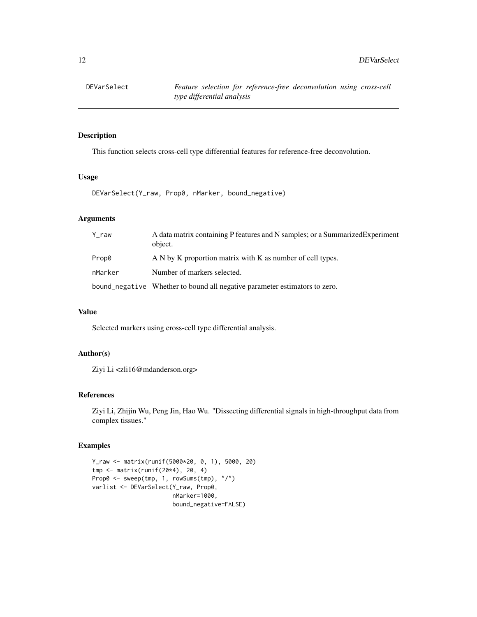# Description

This function selects cross-cell type differential features for reference-free deconvolution.

#### Usage

DEVarSelect(Y\_raw, Prop0, nMarker, bound\_negative)

# Arguments

| Y_raw   | A data matrix containing P features and N samples; or a Summarized Experiment<br>object. |
|---------|------------------------------------------------------------------------------------------|
| Prop0   | A N by K proportion matrix with K as number of cell types.                               |
| nMarker | Number of markers selected.                                                              |
|         | bound_negative Whether to bound all negative parameter estimators to zero.               |

# Value

Selected markers using cross-cell type differential analysis.

#### Author(s)

Ziyi Li <zli16@mdanderson.org>

#### References

Ziyi Li, Zhijin Wu, Peng Jin, Hao Wu. "Dissecting differential signals in high-throughput data from complex tissues."

```
Y_raw <- matrix(runif(5000*20, 0, 1), 5000, 20)
tmp <- matrix(runif(20*4), 20, 4)
Prop0 <- sweep(tmp, 1, rowSums(tmp), "/")
varlist <- DEVarSelect(Y_raw, Prop0,
                       nMarker=1000,
                       bound_negative=FALSE)
```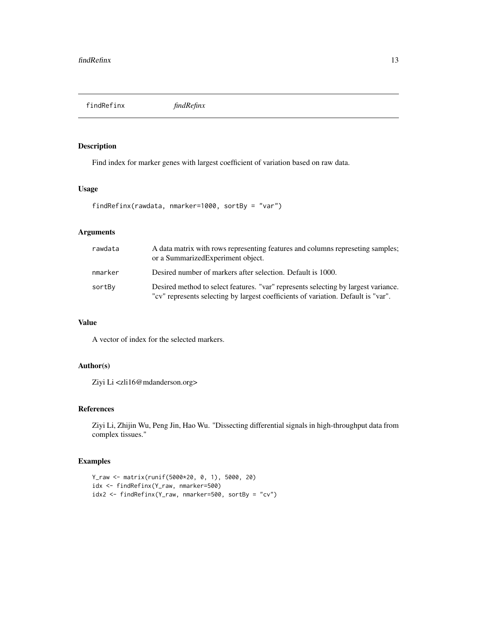<span id="page-12-0"></span>findRefinx *findRefinx*

# Description

Find index for marker genes with largest coefficient of variation based on raw data.

# Usage

```
findRefinx(rawdata, nmarker=1000, sortBy = "var")
```
# Arguments

| rawdata | A data matrix with rows representing features and columns represeting samples;<br>or a SummarizedExperiment object.                                                     |
|---------|-------------------------------------------------------------------------------------------------------------------------------------------------------------------------|
| nmarker | Desired number of markers after selection. Default is 1000.                                                                                                             |
| sortBy  | Desired method to select features. "var" represents selecting by largest variance.<br>"cv" represents selecting by largest coefficients of variation. Default is "var". |

# Value

A vector of index for the selected markers.

# Author(s)

Ziyi Li <zli16@mdanderson.org>

# References

Ziyi Li, Zhijin Wu, Peng Jin, Hao Wu. "Dissecting differential signals in high-throughput data from complex tissues."

```
Y_raw <- matrix(runif(5000*20, 0, 1), 5000, 20)
idx <- findRefinx(Y_raw, nmarker=500)
idx2 <- findRefinx(Y_raw, nmarker=500, sortBy = "cv")
```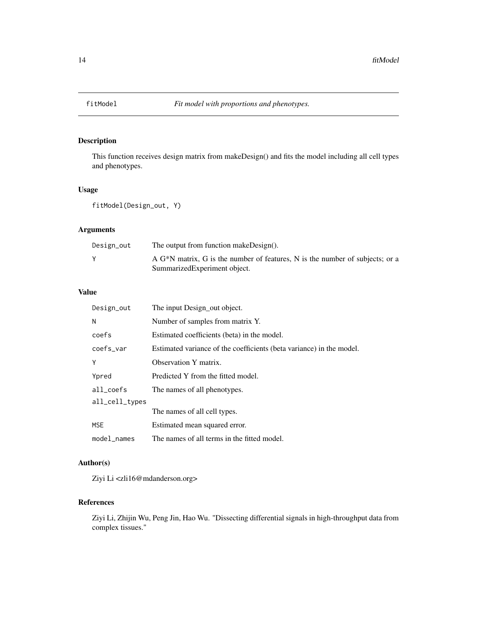<span id="page-13-0"></span>

# Description

This function receives design matrix from makeDesign() and fits the model including all cell types and phenotypes.

# Usage

fitModel(Design\_out, Y)

# Arguments

| Design_out | The output from function makeDesign().                                                    |
|------------|-------------------------------------------------------------------------------------------|
|            | A G <sup>*</sup> N matrix, G is the number of features, N is the number of subjects; or a |
|            | Summarized Experiment object.                                                             |

# Value

| Design_out     | The input Design_out object.                                         |
|----------------|----------------------------------------------------------------------|
| N              | Number of samples from matrix Y.                                     |
| coefs          | Estimated coefficients (beta) in the model.                          |
| coefs_var      | Estimated variance of the coefficients (beta variance) in the model. |
| Υ              | Observation Y matrix.                                                |
| Ypred          | Predicted Y from the fitted model.                                   |
| all coefs      | The names of all phenotypes.                                         |
| all_cell_types |                                                                      |
|                | The names of all cell types.                                         |
| <b>MSE</b>     | Estimated mean squared error.                                        |
| model names    | The names of all terms in the fitted model.                          |

# Author(s)

Ziyi Li <zli16@mdanderson.org>

# References

Ziyi Li, Zhijin Wu, Peng Jin, Hao Wu. "Dissecting differential signals in high-throughput data from complex tissues."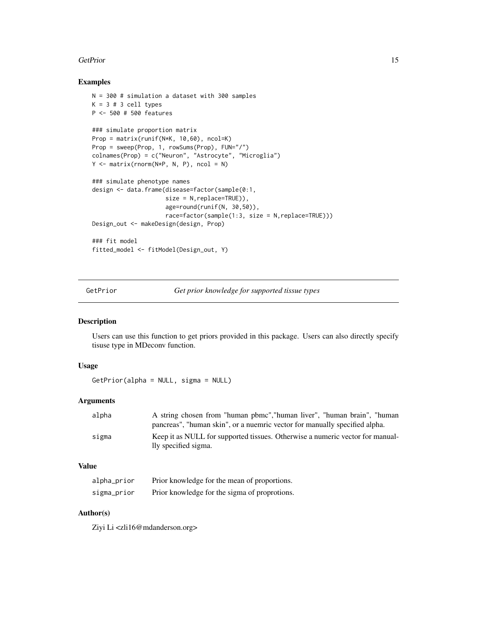#### <span id="page-14-0"></span>GetPrior 15

#### Examples

```
N = 300 # simulation a dataset with 300 samples
K = 3 # 3 cell typesP <- 500 # 500 features
### simulate proportion matrix
Prop = matrix(runif(N*K, 10,60), ncol=K)
Prop = sweep(Prop, 1, rowSums(Prop), FUN="/")
colnames(Prop) = c("Neuron", "Astrocyte", "Microglia")
Y \le - matrix(rnorm(N*P, N, P), ncol = N)
### simulate phenotype names
design <- data.frame(disease=factor(sample(0:1,
                     size = N, replace=TRUE)),
                     age=round(runif(N, 30,50)),
                     race=factor(sample(1:3, size = N,replace=TRUE)))
Design_out <- makeDesign(design, Prop)
### fit model
fitted_model <- fitModel(Design_out, Y)
```
GetPrior *Get prior knowledge for supported tissue types*

# Description

Users can use this function to get priors provided in this package. Users can also directly specify tisuse type in MDeconv function.

#### Usage

GetPrior(alpha = NULL, sigma = NULL)

#### Arguments

| A string chosen from "human pbmc", "human liver", "human brain", "human                               |
|-------------------------------------------------------------------------------------------------------|
| pancreas", "human skin", or a nuemric vector for manually specified alpha.                            |
| Keep it as NULL for supported tissues. Otherwise a numeric vector for manual-<br>lly specified sigma. |
|                                                                                                       |

# Value

| alpha_prior | Prior knowledge for the mean of proportions.  |
|-------------|-----------------------------------------------|
| sigma_prior | Prior knowledge for the sigma of proprotions. |

## Author(s)

Ziyi Li <zli16@mdanderson.org>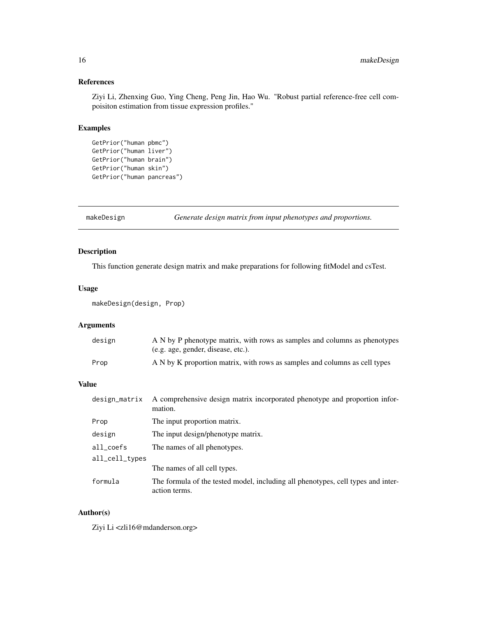# <span id="page-15-0"></span>References

Ziyi Li, Zhenxing Guo, Ying Cheng, Peng Jin, Hao Wu. "Robust partial reference-free cell compoisiton estimation from tissue expression profiles."

# Examples

```
GetPrior("human pbmc")
GetPrior("human liver")
GetPrior("human brain")
GetPrior("human skin")
GetPrior("human pancreas")
```
makeDesign *Generate design matrix from input phenotypes and proportions.*

# Description

This function generate design matrix and make preparations for following fitModel and csTest.

# Usage

```
makeDesign(design, Prop)
```
# Arguments

| design | A N by P phenotype matrix, with rows as samples and columns as phenotypes  |
|--------|----------------------------------------------------------------------------|
|        | (e.g. age, gender, disease, etc.).                                         |
| Prop   | A N by K proportion matrix, with rows as samples and columns as cell types |

#### Value

| design_matrix          | A comprehensive design matrix incorporated phenotype and proportion infor-<br>mation.             |
|------------------------|---------------------------------------------------------------------------------------------------|
| Prop                   | The input proportion matrix.                                                                      |
| design                 | The input design/phenotype matrix.                                                                |
| $all \_ \text{coeffs}$ | The names of all phenotypes.                                                                      |
| all_cell_types         |                                                                                                   |
|                        | The names of all cell types.                                                                      |
| formula                | The formula of the tested model, including all phenotypes, cell types and inter-<br>action terms. |

# Author(s)

Ziyi Li <zli16@mdanderson.org>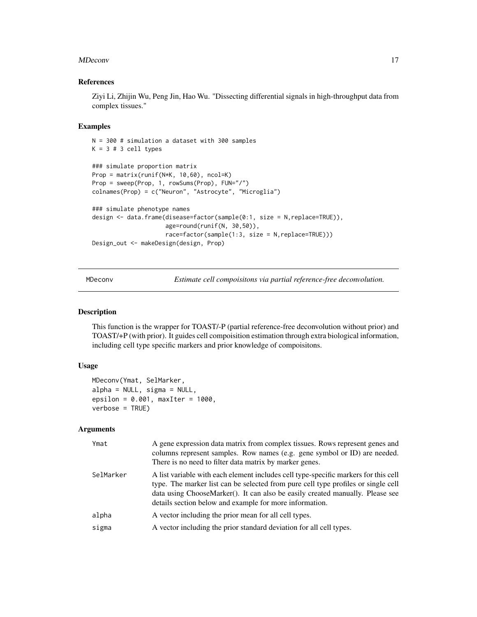#### <span id="page-16-0"></span>MDeconv and the contract of the contract of the contract of the contract of the contract of the contract of the contract of the contract of the contract of the contract of the contract of the contract of the contract of th

#### References

Ziyi Li, Zhijin Wu, Peng Jin, Hao Wu. "Dissecting differential signals in high-throughput data from complex tissues."

#### Examples

```
N = 300 # simulation a dataset with 300 samples
K = 3 # 3 cell types### simulate proportion matrix
Prop = matrix(runif(N*K, 10,60), ncol=K)
Prop = sweep(Prop, 1, rowSums(Prop), FUN="/")
colnames(Prop) = c("Neuron", "Astrocyte", "Microglia")
### simulate phenotype names
design <- data.frame(disease=factor(sample(0:1, size = N,replace=TRUE)),
                     age=round(runif(N, 30,50)),
                     race=factor(sample(1:3, size = N,replace=TRUE)))
Design_out <- makeDesign(design, Prop)
```
MDeconv *Estimate cell compoisitons via partial reference-free deconvolution.*

#### Description

This function is the wrapper for TOAST/-P (partial reference-free deconvolution without prior) and TOAST/+P (with prior). It guides cell compoisition estimation through extra biological information, including cell type specific markers and prior knowledge of compoisitons.

#### Usage

```
MDeconv(Ymat, SelMarker,
alpha = NULL, sigma = NULL,
epsilon = 0.001, maxIter = 1000,
verbose = TRUE)
```
#### Arguments

| Ymat      | A gene expression data matrix from complex tissues. Rows represent genes and<br>columns represent samples. Row names (e.g. gene symbol or ID) are needed.<br>There is no need to filter data matrix by marker genes.                                                                                                 |
|-----------|----------------------------------------------------------------------------------------------------------------------------------------------------------------------------------------------------------------------------------------------------------------------------------------------------------------------|
| SelMarker | A list variable with each element includes cell type-specific markers for this cell<br>type. The marker list can be selected from pure cell type profiles or single cell<br>data using ChooseMarker(). It can also be easily created manually. Please see<br>details section below and example for more information. |
| alpha     | A vector including the prior mean for all cell types.                                                                                                                                                                                                                                                                |
| sigma     | A vector including the prior standard deviation for all cell types.                                                                                                                                                                                                                                                  |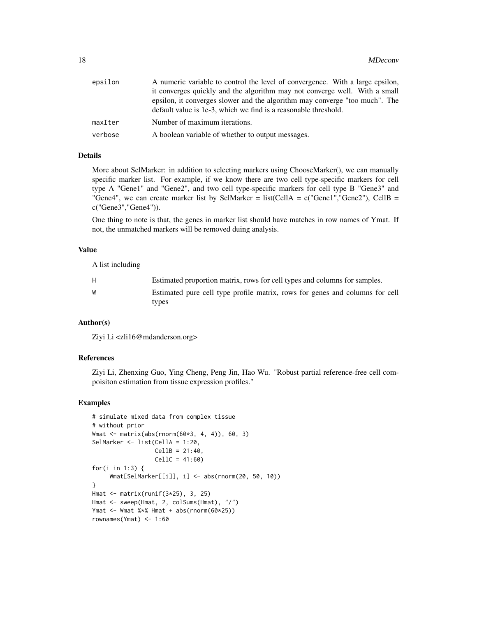| epsilon | A numeric variable to control the level of convergence. With a large epsilon, |
|---------|-------------------------------------------------------------------------------|
|         | it converges quickly and the algorithm may not converge well. With a small    |
|         | epsilon, it converges slower and the algorithm may converge "too much". The   |
|         | default value is 1e-3, which we find is a reasonable threshold.               |
| maxIter | Number of maximum iterations.                                                 |
| verbose | A boolean variable of whether to output messages.                             |

# Details

More about SelMarker: in addition to selecting markers using ChooseMarker(), we can manually specific marker list. For example, if we know there are two cell type-specific markers for cell type A "Gene1" and "Gene2", and two cell type-specific markers for cell type B "Gene3" and "Gene4", we can create marker list by SelMarker = list(CellA =  $c$ ("Gene1", "Gene2"), CellB = c("Gene3","Gene4")).

One thing to note is that, the genes in marker list should have matches in row names of Ymat. If not, the unmatched markers will be removed duing analysis.

#### Value

A list including

| H | Estimated proportion matrix, rows for cell types and columns for samples.             |
|---|---------------------------------------------------------------------------------------|
| W | Estimated pure cell type profile matrix, rows for genes and columns for cell<br>types |

#### Author(s)

Ziyi Li <zli16@mdanderson.org>

#### References

Ziyi Li, Zhenxing Guo, Ying Cheng, Peng Jin, Hao Wu. "Robust partial reference-free cell compoisiton estimation from tissue expression profiles."

```
# simulate mixed data from complex tissue
# without prior
Wmat <- matrix(abs(rnorm(60*3, 4, 4)), 60, 3)
SelMarker <- list(CellA = 1:20,
                 CellB = 21:40,CellC = 41:60)
for(i in 1:3) {
    Wmat[SelMarker[[i]], i] <- abs(rnorm(20, 50, 10))
}
Hmat <- matrix(runif(3*25), 3, 25)
Hmat <- sweep(Hmat, 2, colSums(Hmat), "/")
Ymat <- Wmat %*% Hmat + abs(rnorm(60*25))
rownames(Ymat) <- 1:60
```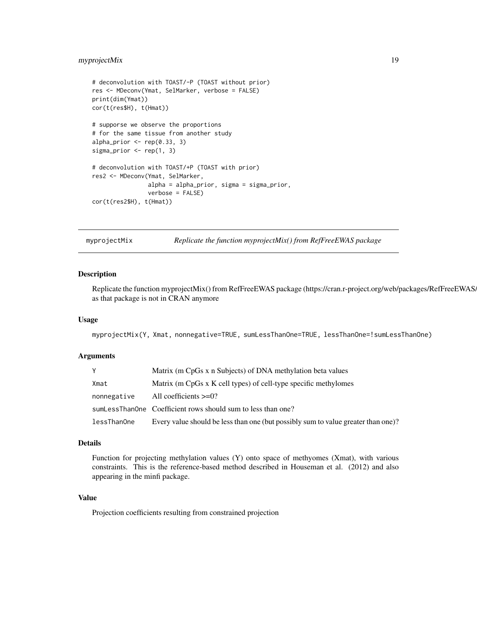# <span id="page-18-0"></span>myprojectMix 19

```
# deconvolution with TOAST/-P (TOAST without prior)
res <- MDeconv(Ymat, SelMarker, verbose = FALSE)
print(dim(Ymat))
cor(t(res$H), t(Hmat))
# supporse we observe the proportions
# for the same tissue from another study
alpha_prior \leq rep(0.33, 3)
sigma_prior <- rep(1, 3)
# deconvolution with TOAST/+P (TOAST with prior)
res2 <- MDeconv(Ymat, SelMarker,
                alpha = alpha_prior, sigma = sigma_prior,
                verbose = FALSE)
cor(t(res2$H), t(Hmat))
```
myprojectMix *Replicate the function myprojectMix() from RefFreeEWAS package*

# **Description**

Replicate the function myprojectMix() from RefFreeEWAS package (https://cran.r-project.org/web/packages/RefFreeEWAS/ as that package is not in CRAN anymore

#### Usage

myprojectMix(Y, Xmat, nonnegative=TRUE, sumLessThanOne=TRUE, lessThanOne=!sumLessThanOne)

#### Arguments

|             | Matrix (m CpGs x n Subjects) of DNA methylation beta values                       |
|-------------|-----------------------------------------------------------------------------------|
| Xmat        | Matrix (m CpGs x K cell types) of cell-type specific methylomes                   |
| nonnegative | All coefficients $>=0$ ?                                                          |
|             | sumLessThanOne Coefficient rows should sum to less than one?                      |
| lessThanOne | Every value should be less than one (but possibly sum to value greater than one)? |

#### Details

Function for projecting methylation values (Y) onto space of methyomes (Xmat), with various constraints. This is the reference-based method described in Houseman et al. (2012) and also appearing in the minfi package.

#### Value

Projection coefficients resulting from constrained projection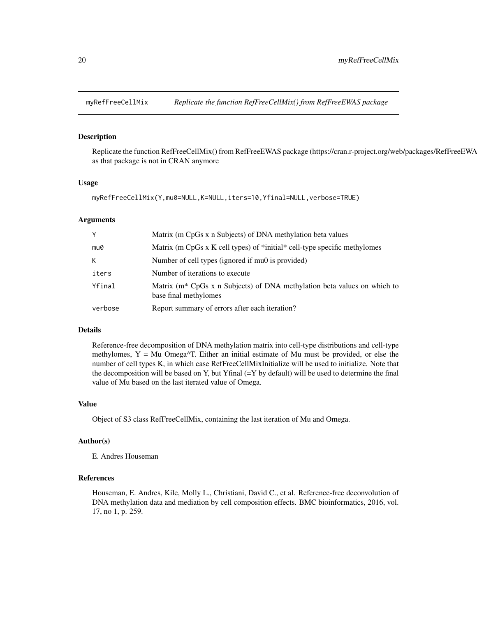<span id="page-19-0"></span>

# Description

Replicate the function RefFreeCellMix() from RefFreeEWAS package (https://cran.r-project.org/web/packages/RefFreeEWA as that package is not in CRAN anymore

#### Usage

```
myRefFreeCellMix(Y,mu0=NULL,K=NULL,iters=10,Yfinal=NULL,verbose=TRUE)
```
#### Arguments

| Y       | Matrix (m CpGs x n Subjects) of DNA methylation beta values                                                   |
|---------|---------------------------------------------------------------------------------------------------------------|
| mu0     | Matrix (m CpGs x K cell types) of *initial* cell-type specific methylomes                                     |
| К       | Number of cell types (ignored if mu0 is provided)                                                             |
| iters   | Number of iterations to execute                                                                               |
| Yfinal  | Matrix (m <sup>*</sup> CpGs x n Subjects) of DNA methylation beta values on which to<br>base final methylomes |
| verbose | Report summary of errors after each iteration?                                                                |

# Details

Reference-free decomposition of DNA methylation matrix into cell-type distributions and cell-type methylomes,  $Y = Mu$  Omega $\Delta T$ . Either an initial estimate of Mu must be provided, or else the number of cell types K, in which case RefFreeCellMixInitialize will be used to initialize. Note that the decomposition will be based on Y, but Yfinal  $(=Y$  by default) will be used to determine the final value of Mu based on the last iterated value of Omega.

#### Value

Object of S3 class RefFreeCellMix, containing the last iteration of Mu and Omega.

# Author(s)

E. Andres Houseman

# References

Houseman, E. Andres, Kile, Molly L., Christiani, David C., et al. Reference-free deconvolution of DNA methylation data and mediation by cell composition effects. BMC bioinformatics, 2016, vol. 17, no 1, p. 259.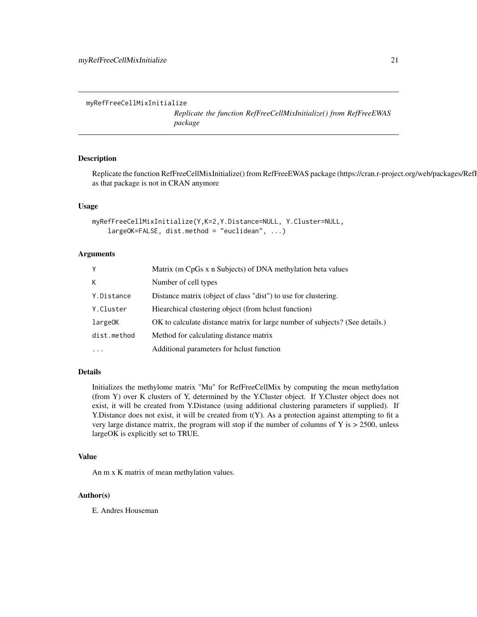```
myRefFreeCellMixInitialize
```
*Replicate the function RefFreeCellMixInitialize() from RefFreeEWAS package*

# **Description**

Replicate the function RefFreeCellMixInitialize() from RefFreeEWAS package (https://cran.r-project.org/web/packages/RefI as that package is not in CRAN anymore

# Usage

```
myRefFreeCellMixInitialize(Y,K=2,Y.Distance=NULL, Y.Cluster=NULL,
   largeOK=FALSE, dist.method = "euclidean", ...)
```
# Arguments

| Y           | Matrix (m CpGs x n Subjects) of DNA methylation beta values                  |
|-------------|------------------------------------------------------------------------------|
| K           | Number of cell types                                                         |
| Y.Distance  | Distance matrix (object of class "dist") to use for clustering.              |
| Y.Cluster   | Hiearchical clustering object (from helust function)                         |
| largeOK     | OK to calculate distance matrix for large number of subjects? (See details.) |
| dist.method | Method for calculating distance matrix                                       |
| $\cdot$     | Additional parameters for holust function                                    |

# Details

Initializes the methylome matrix "Mu" for RefFreeCellMix by computing the mean methylation (from Y) over K clusters of Y, determined by the Y.Cluster object. If Y.Cluster object does not exist, it will be created from Y.Distance (using additional clustering parameters if supplied). If Y.Distance does not exist, it will be created from t(Y). As a protection against attempting to fit a very large distance matrix, the program will stop if the number of columns of Y is > 2500, unless largeOK is explicitly set to TRUE.

#### Value

An m x K matrix of mean methylation values.

#### Author(s)

E. Andres Houseman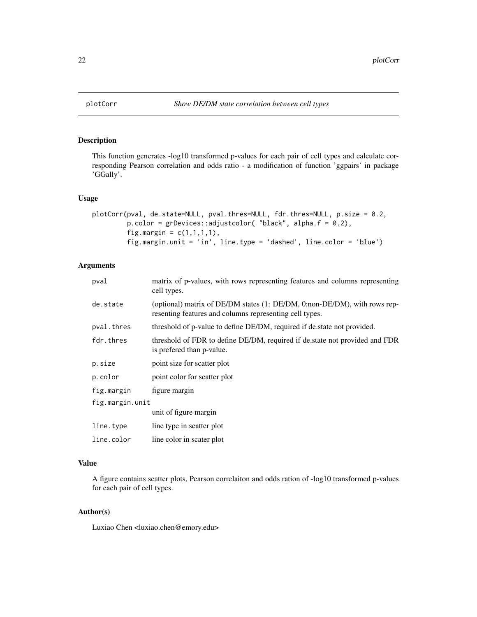<span id="page-21-0"></span>

# Description

This function generates -log10 transformed p-values for each pair of cell types and calculate corresponding Pearson correlation and odds ratio - a modification of function 'ggpairs' in package 'GGally'.

#### Usage

```
plotCorr(pval, de.state=NULL, pval.thres=NULL, fdr.thres=NULL, p.size = 0.2,
         p.color = grDevices::adjustcolor( "black", alpha.f = 0.2),
         fig.margin = c(1,1,1,1),
         fig.margin.unit = 'in', line.type = 'dashed', line.color = 'blue')
```
# Arguments

| pval            | matrix of p-values, with rows representing features and columns representing<br>cell types.                                          |  |
|-----------------|--------------------------------------------------------------------------------------------------------------------------------------|--|
| de.state        | (optional) matrix of DE/DM states (1: DE/DM, 0:non-DE/DM), with rows rep-<br>resenting features and columns representing cell types. |  |
| pval.thres      | threshold of p-value to define DE/DM, required if de state not provided.                                                             |  |
| fdr.thres       | threshold of FDR to define DE/DM, required if de.state not provided and FDR<br>is prefered than p-value.                             |  |
| p.size          | point size for scatter plot                                                                                                          |  |
| p.color         | point color for scatter plot                                                                                                         |  |
| fig.margin      | figure margin                                                                                                                        |  |
| fig.margin.unit |                                                                                                                                      |  |
|                 | unit of figure margin                                                                                                                |  |
| line.type       | line type in scatter plot                                                                                                            |  |
| line.color      | line color in scater plot                                                                                                            |  |
|                 |                                                                                                                                      |  |

# Value

A figure contains scatter plots, Pearson correlaiton and odds ration of -log10 transformed p-values for each pair of cell types.

#### Author(s)

Luxiao Chen <luxiao.chen@emory.edu>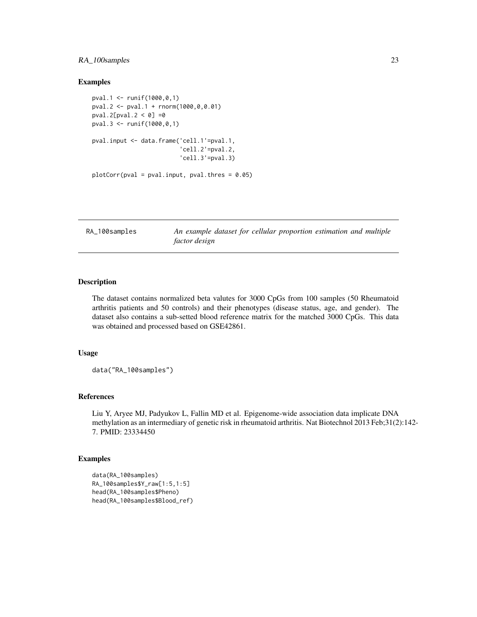# <span id="page-22-0"></span>RA\_100samples 23

#### Examples

```
pval.1 <- runif(1000,0,1)
pval.2 <- pval.1 + rnorm(1000,0,0.01)
pval.2[pval.2 < 0] = 0pval.3 <- runif(1000,0,1)
pval.input <- data.frame('cell.1'=pval.1,
                         'cell.2'=pval.2,
                         'cell.3'=pval.3)
plotCorr(pval = pval.input, pval.thres = 0.05)
```
RA\_100samples *An example dataset for cellular proportion estimation and multiple factor design*

# Description

The dataset contains normalized beta valutes for 3000 CpGs from 100 samples (50 Rheumatoid arthritis patients and 50 controls) and their phenotypes (disease status, age, and gender). The dataset also contains a sub-setted blood reference matrix for the matched 3000 CpGs. This data was obtained and processed based on GSE42861.

#### Usage

data("RA\_100samples")

#### References

Liu Y, Aryee MJ, Padyukov L, Fallin MD et al. Epigenome-wide association data implicate DNA methylation as an intermediary of genetic risk in rheumatoid arthritis. Nat Biotechnol 2013 Feb;31(2):142- 7. PMID: 23334450

```
data(RA_100samples)
RA_100samples$Y_raw[1:5,1:5]
head(RA_100samples$Pheno)
head(RA_100samples$Blood_ref)
```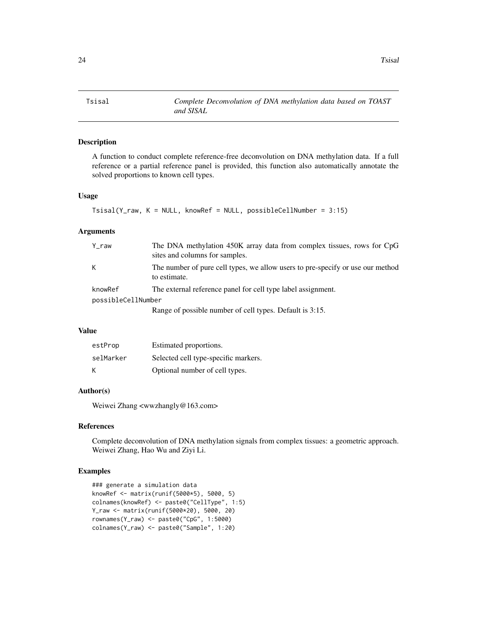<span id="page-23-0"></span>Tsisal *Complete Deconvolution of DNA methylation data based on TOAST and SISAL*

## Description

A function to conduct complete reference-free deconvolution on DNA methylation data. If a full reference or a partial reference panel is provided, this function also automatically annotate the solved proportions to known cell types.

#### Usage

```
Tsisal(Y_{raw}, K = NULL, knownRef = NULL, possibleCellNumber = 3:15)
```
# Arguments

| $Y_{raw}$          | The DNA methylation 450K array data from complex tissues, rows for CpG<br>sites and columns for samples. |
|--------------------|----------------------------------------------------------------------------------------------------------|
| K                  | The number of pure cell types, we allow users to pre-specify or use our method<br>to estimate.           |
| knowRef            | The external reference panel for cell type label assignment.                                             |
| possibleCellNumber |                                                                                                          |
|                    | Range of possible number of cell types. Default is 3:15.                                                 |

#### Value

| estProp   | Estimated proportions.               |
|-----------|--------------------------------------|
| selMarker | Selected cell type-specific markers. |
| K         | Optional number of cell types.       |

# Author(s)

Weiwei Zhang <wwzhangly@163.com>

# References

Complete deconvolution of DNA methylation signals from complex tissues: a geometric approach. Weiwei Zhang, Hao Wu and Ziyi Li.

```
### generate a simulation data
knowRef <- matrix(runif(5000*5), 5000, 5)
colnames(knowRef) <- paste0("CellType", 1:5)
Y_raw <- matrix(runif(5000*20), 5000, 20)
rownames(Y_raw) <- paste0("CpG", 1:5000)
colnames(Y_raw) <- paste0("Sample", 1:20)
```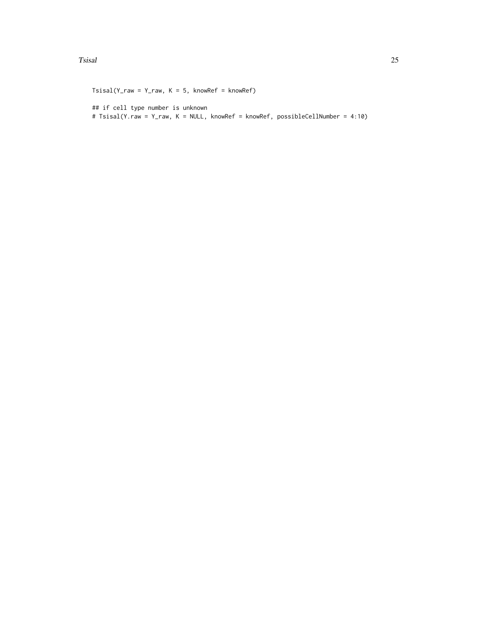#### Tsisal 25

```
Tsisal(Y_{raw} = Y_{raw}, K = 5, knownRef = knownRef)## if cell type number is unknown
# Tsisal(Y.raw = Y_raw, K = NULL, knowRef = knowRef, possibleCellNumber = 4:10)
```